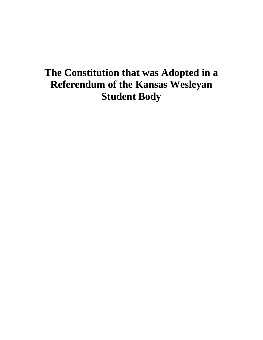# **The Constitution that was Adopted in a Referendum of the Kansas Wesleyan Student Body**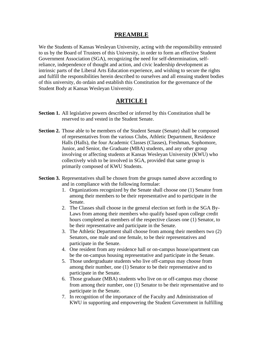## **PREAMBLE**

We the Students of Kansas Wesleyan University, acting with the responsibility entrusted to us by the Board of Trustees of this University, in order to form an effective Student Government Association (SGA), recognizing the need for self-determination, selfreliance, independence of thought and action, and civic leadership development as intrinsic parts of the Liberal Arts Education experience, and wishing to secure the rights and fulfill the responsibilities herein described to ourselves and all ensuing student bodies of this university, do ordain and establish this Constitution for the governance of the Student Body at Kansas Wesleyan University.

## **ARTICLE I**

- **Section 1.** All legislative powers described or inferred by this Constitution shall be reserved to and vested in the Student Senate.
- **Section 2.** Those able to be members of the Student Senate (Senate) shall be composed of representatives from the various Clubs, Athletic Department, Residence Halls (Halls), the four Academic Classes (Classes), Freshman, Sophomore, Junior, and Senior, the Graduate (MBA) students, and any other group involving or affecting students at Kansas Wesleyan University (KWU) who collectively wish to be involved in SGA, provided that same group is primarily composed of KWU Students.
- **Section 3.** Representatives shall be chosen from the groups named above according to and in compliance with the following formulae:
	- 1. Organizations recognized by the Senate shall choose one (1) Senator from among their members to be their representative and to participate in the Senate.
	- 2. The Classes shall choose in the general election set forth in the SGA By-Laws from among their members who qualify based upon college credit hours completed as members of the respective classes one (1) Senator, to be their representative and participate in the Senate.
	- 3. The Athletic Department shall choose from among their members two (2) Senators, one male and one female, to be their representatives and participate in the Senate.
	- 4. One resident from any residence hall or on-campus house/apartment can be the on-campus housing representative and participate in the Senate.
	- 5. Those undergraduate students who live off-campus may choose from among their number, one (1) Senator to be their representative and to participate in the Senate.
	- 6. Those graduate (MBA) students who live on or off-campus may choose from among their number, one (1) Senator to be their representative and to participate in the Senate.
	- 7. In recognition of the importance of the Faculty and Administration of KWU in supporting and empowering the Student Government in fulfilling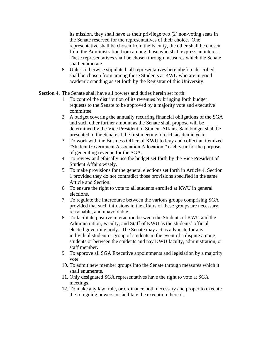its mission, they shall have as their privilege two (2) non-voting seats in the Senate reserved for the representatives of their choice. One representative shall be chosen from the Faculty, the other shall be chosen from the Administration from among those who shall express an interest. These representatives shall be chosen through measures which the Senate shall enumerate.

8. Unless otherwise stipulated, all representatives hereinbefore described shall be chosen from among those Students at KWU who are in good academic standing as set forth by the Registrar of this University.

**Section 4.** The Senate shall have all powers and duties herein set forth:

- 1. To control the distribution of its revenues by bringing forth budget requests to the Senate to be approved by a majority vote and executive committee.
- 2. A budget covering the annually recurring financial obligations of the SGA and such other further amount as the Senate shall propose will be determined by the Vice President of Student Affairs. Said budget shall be presented to the Senate at the first meeting of each academic year.
- 3. To work with the Business Office of KWU to levy and collect an itemized "Student Government Association Allocation," each year for the purpose of generating revenue for the SGA.
- 4. To review and ethically use the budget set forth by the Vice President of Student Affairs wisely.
- 5. To make provisions for the general elections set forth in Article 4, Section 1 provided they do not contradict those provisions specified in the same Article and Section.
- 6. To ensure the right to vote to all students enrolled at KWU in general elections.
- 7. To regulate the intercourse between the various groups comprising SGA provided that such intrusions in the affairs of these groups are necessary, reasonable, and unavoidable.
- 8. To facilitate positive interaction between the Students of KWU and the Administration, Faculty, and Staff of KWU as the students' official elected governing body. The Senate may act as advocate for any individual student or group of students in the event of a dispute among students or between the students and nay KWU faculty, administration, or staff member.
- 9. To approve all SGA Executive appointments and legislation by a majority vote.
- 10. To admit new member groups into the Senate through measures which it shall enumerate.
- 11. Only designated SGA representatives have the right to vote at SGA meetings.
- 12. To make any law, rule, or ordinance both necessary and proper to execute the foregoing powers or facilitate the execution thereof.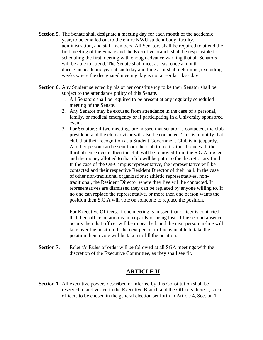- **Section 5.** The Senate shall designate a meeting day for each month of the academic year, to be emailed out to the entire KWU student body, faculty, administration, and staff members. All Senators shall be required to attend the first meeting of the Senate and the Executive branch shall be responsible for scheduling the first meeting with enough advance warning that all Senators will be able to attend. The Senate shall meet at least once a month during an academic year at such day and time as it shall determine, excluding weeks where the designated meeting day is not a regular class day.
- **Section 6.** Any Student selected by his or her constituency to be their Senator shall be subject to the attendance policy of this Senate.
	- 1. All Senators shall be required to be present at any regularly scheduled meeting of the Senate.
	- 2. Any Senator may be excused from attendance in the case of a personal, family, or medical emergency or if participating in a University sponsored event.
	- 3. For Senators: if two meetings are missed that senator is contacted, the club president, and the club advisor will also be contacted. This is to notify that club that their recognition as a Student Government Club is in jeopardy. Another person can be sent from the club to rectify the absences. If the third absence occurs then the club will be removed from the S.G.A. roster and the money allotted to that club will be put into the discretionary fund. In the case of the On-Campus representative, the representative will be contacted and their respective Resident Director of their hall. In the case of other non-traditional organizations; athletic representatives, nontraditional, the Resident Director where they live will be contacted. If representatives are dismissed they can be replaced by anyone willing to. If no one can replace the representative, or more then one person wants the position then S.G.A will vote on someone to replace the position.

For Executive Officers: if one meeting is missed that officer is contacted that their office position is in jeopardy of being lost. If the second absence occurs then that officer will be impeached, and the next person in-line will take over the position. If the next person in-line is unable to take the position then a vote will be taken to fill the position.

**Section 7.** Robert's Rules of order will be followed at all SGA meetings with the discretion of the Executive Committee, as they shall see fit.

## **ARTICLE II**

**Section 1.** All executive powers described or inferred by this Constitution shall be reserved to and vested in the Executive Branch and the Officers thereof; such officers to be chosen in the general election set forth in Article 4, Section 1.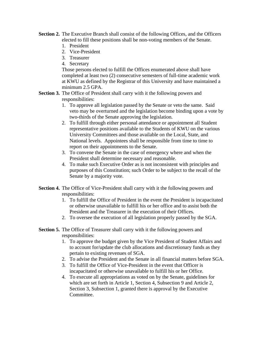- **Section 2.** The Executive Branch shall consist of the following Offices, and the Officers elected to fill these positions shall be non-voting members of the Senate.
	- 1. President
	- 2. Vice-President
	- 3. Treasurer
	- 4. Secretary

Those persons elected to fulfill the Offices enumerated above shall have completed at least two (2) consecutive semesters of full-time academic work at KWU as defined by the Registrar of this University and have maintained a minimum 2.5 GPA.

- **Section 3.** The Office of President shall carry with it the following powers and responsibilities:
	- 1. To approve all legislation passed by the Senate or veto the same. Said veto may be overturned and the legislation become binding upon a vote by two-thirds of the Senate approving the legislation.
	- 2. To fulfill through either personal attendance or appointment all Student representative positions available to the Students of KWU on the various University Committees and those available on the Local, State, and National levels. Appointees shall be responsible from time to time to report on their appointments to the Senate.
	- 3. To convene the Senate in the case of emergency where and when the President shall determine necessary and reasonable.
	- 4. To make such Executive Order as is not inconsistent with principles and purposes of this Constitution; such Order to be subject to the recall of the Senate by a majority vote.
- **Section 4.** The Office of Vice-President shall carry with it the following powers and responsibilities:
	- 1. To fulfill the Office of President in the event the President is incapacitated or otherwise unavailable to fulfill his or her office and to assist both the President and the Treasurer in the execution of their Offices.
	- 2. To oversee the execution of all legislation properly passed by the SGA.
- **Section 5.** The Office of Treasurer shall carry with it the following powers and responsibilities:
	- 1. To approve the budget given by the Vice President of Student Affairs and to account for/update the club allocations and discretionary funds as they pertain to existing revenues of SGA.
	- 2. To advise the President and the Senate in all financial matters before SGA.
	- 3. To fulfill the Office of Vice-President in the event that Officer is incapacitated or otherwise unavailable to fulfill his or her Office.
	- 4. To execute all appropriations as voted on by the Senate, guidelines for which are set forth in Article 1, Section 4, Subsection 9 and Article 2, Section 3, Subsection 1, granted there is approval by the Executive Committee.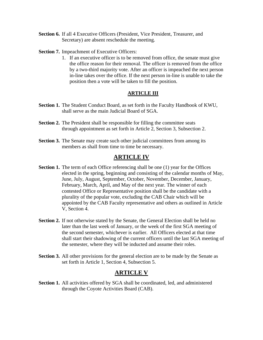- **Section 6.** If all 4 Executive Officers (President, Vice President, Treasurer, and Secretary) are absent reschedule the meeting.
- **Section 7.** Impeachment of Executive Officers:
	- 1. If an executive officer is to be removed from office, the senate must give the office reason for their removal. The officer is removed from the office by a two-third majority vote. After an officer is impeached the next person in-line takes over the office. If the next person in-line is unable to take the position then a vote will be taken to fill the position.

#### **ARTICLE III**

- **Section 1.** The Student Conduct Board, as set forth in the Faculty Handbook of KWU, shall serve as the main Judicial Board of SGA.
- **Section 2.** The President shall be responsible for filling the committee seats through appointment as set forth in Article 2, Section 3, Subsection 2.
- **Section 3.** The Senate may create such other judicial committees from among its members as shall from time to time be necessary.

## **ARTICLE IV**

- **Section 1.** The term of each Office referencing shall be one (1) year for the Offices elected in the spring, beginning and consisting of the calendar months of May, June, July, August, September, October, November, December, January, February, March, April, and May of the next year. The winner of each contested Office or Representative position shall be the candidate with a plurality of the popular vote, excluding the CAB Chair which will be appointed by the CAB Faculty representative and others as outlined in Article V, Section 4.
- **Section 2.** If not otherwise stated by the Senate, the General Election shall be held no later than the last week of January, or the week of the first SGA meeting of the second semester, whichever is earlier. All Officers elected at that time shall start their shadowing of the current officers until the last SGA meeting of the semester, where they will be inducted and assume their roles.
- **Section 3.** All other provisions for the general election are to be made by the Senate as set forth in Article 1, Section 4, Subsection 5.

## **ARTICLE V**

**Section 1.** All activities offered by SGA shall be coordinated, led, and administered through the Coyote Activities Board (CAB).